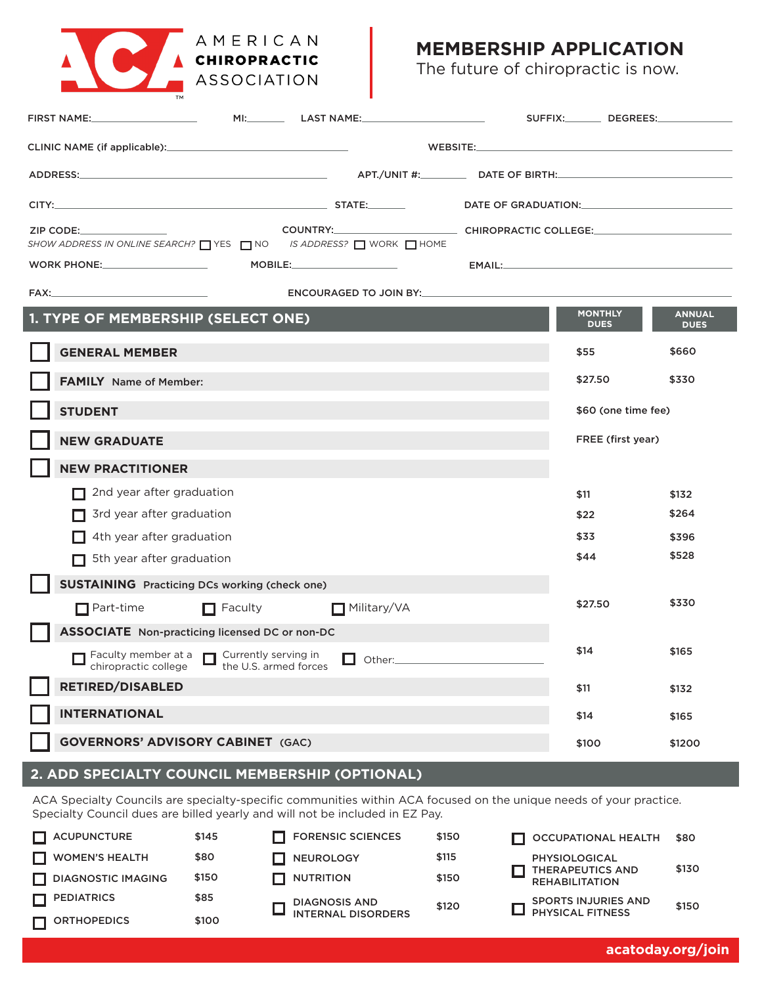

# **MEMBERSHIP APPLICATION**

The future of chiropractic is now.

|                                                                                                                                                                                               |                                                                         |                       | DATE OF GRADUATION: University of the SATE OF GRADUATION:                                                                                                                                                                                                                                                                                                                                                                                                       |  |                               |                              |  |  |
|-----------------------------------------------------------------------------------------------------------------------------------------------------------------------------------------------|-------------------------------------------------------------------------|-----------------------|-----------------------------------------------------------------------------------------------------------------------------------------------------------------------------------------------------------------------------------------------------------------------------------------------------------------------------------------------------------------------------------------------------------------------------------------------------------------|--|-------------------------------|------------------------------|--|--|
| COUNTRY:______________________________CHIROPRACTIC COLLEGE:_____________________<br>ZIP CODE: 2000<br>SHOW ADDRESS IN ONLINE SEARCH? $\Box$ YES $\Box$ NO IS ADDRESS? $\Box$ WORK $\Box$ HOME |                                                                         |                       |                                                                                                                                                                                                                                                                                                                                                                                                                                                                 |  |                               |                              |  |  |
|                                                                                                                                                                                               |                                                                         |                       | $\mathsf{MOBILE:}\hspace{0.5cm}\underline{\hspace{1.5cm}}\hspace{1.5cm}\underline{\hspace{1.5cm}}\hspace{1.5cm}\underline{\hspace{1.5cm}}\hspace{1.5cm}}\hspace{1.5cm}\underline{\hspace{1.5cm}}\hspace{1.5cm}\underline{\hspace{1.5cm}}\hspace{1.5cm}}\hspace{1.5cm}\underline{\hspace{1.5cm}}\hspace{1.5cm}}\hspace{1.5cm}\underline{\hspace{1.5cm}}\hspace{1.5cm}}\hspace{1.5cm}\underline{\hspace{1.5cm}}\hspace{1.5cm}}\hspace{1.5cm}\underline{\hspace{1$ |  |                               |                              |  |  |
|                                                                                                                                                                                               | ENCOURAGED TO JOIN BY:                                                  |                       |                                                                                                                                                                                                                                                                                                                                                                                                                                                                 |  |                               |                              |  |  |
|                                                                                                                                                                                               | 1. TYPE OF MEMBERSHIP (SELECT ONE)                                      |                       |                                                                                                                                                                                                                                                                                                                                                                                                                                                                 |  | <b>MONTHLY</b><br><b>DUES</b> | <b>ANNUAL</b><br><b>DUES</b> |  |  |
|                                                                                                                                                                                               | <b>GENERAL MEMBER</b>                                                   |                       |                                                                                                                                                                                                                                                                                                                                                                                                                                                                 |  | \$55                          | \$660                        |  |  |
|                                                                                                                                                                                               | <b>FAMILY</b> Name of Member:                                           |                       |                                                                                                                                                                                                                                                                                                                                                                                                                                                                 |  | \$27.50                       | \$330                        |  |  |
|                                                                                                                                                                                               | <b>STUDENT</b>                                                          |                       |                                                                                                                                                                                                                                                                                                                                                                                                                                                                 |  | \$60 (one time fee)           |                              |  |  |
|                                                                                                                                                                                               | <b>NEW GRADUATE</b>                                                     |                       |                                                                                                                                                                                                                                                                                                                                                                                                                                                                 |  | FREE (first year)             |                              |  |  |
|                                                                                                                                                                                               | <b>NEW PRACTITIONER</b>                                                 |                       |                                                                                                                                                                                                                                                                                                                                                                                                                                                                 |  |                               |                              |  |  |
|                                                                                                                                                                                               | 2nd year after graduation<br>П                                          |                       |                                                                                                                                                                                                                                                                                                                                                                                                                                                                 |  | \$11                          | \$132                        |  |  |
|                                                                                                                                                                                               | 3rd year after graduation                                               |                       |                                                                                                                                                                                                                                                                                                                                                                                                                                                                 |  | \$22                          | \$264                        |  |  |
|                                                                                                                                                                                               | 4th year after graduation                                               |                       |                                                                                                                                                                                                                                                                                                                                                                                                                                                                 |  | \$33                          | \$396                        |  |  |
|                                                                                                                                                                                               | 5th year after graduation                                               |                       |                                                                                                                                                                                                                                                                                                                                                                                                                                                                 |  | \$44                          | \$528                        |  |  |
|                                                                                                                                                                                               | <b>SUSTAINING</b> Practicing DCs working (check one)                    |                       |                                                                                                                                                                                                                                                                                                                                                                                                                                                                 |  |                               |                              |  |  |
|                                                                                                                                                                                               | $\Box$ Part-time                                                        | $\Box$ Faculty        | Military/VA                                                                                                                                                                                                                                                                                                                                                                                                                                                     |  | \$27.50                       | \$330                        |  |  |
|                                                                                                                                                                                               | <b>ASSOCIATE</b> Non-practicing licensed DC or non-DC                   |                       |                                                                                                                                                                                                                                                                                                                                                                                                                                                                 |  |                               |                              |  |  |
|                                                                                                                                                                                               | Faculty member at a $\Box$ Currently serving in<br>chiropractic college | the U.S. armed forces | Other:                                                                                                                                                                                                                                                                                                                                                                                                                                                          |  | \$14                          | \$165                        |  |  |
|                                                                                                                                                                                               | <b>RETIRED/DISABLED</b>                                                 |                       |                                                                                                                                                                                                                                                                                                                                                                                                                                                                 |  | \$11                          | \$132                        |  |  |
|                                                                                                                                                                                               | <b>INTERNATIONAL</b>                                                    |                       |                                                                                                                                                                                                                                                                                                                                                                                                                                                                 |  | \$14                          | \$165                        |  |  |
|                                                                                                                                                                                               | <b>GOVERNORS' ADVISORY CABINET (GAC)</b>                                |                       |                                                                                                                                                                                                                                                                                                                                                                                                                                                                 |  | \$100                         | \$1200                       |  |  |

# **2. ADD SPECIALTY COUNCIL MEMBERSHIP (OPTIONAL)**

ACA Specialty Councils are specialty-specific communities within ACA focused on the unique needs of your practice. Specialty Council dues are billed yearly and will not be included in EZ Pay.

| <b>ACUPUNCTURE</b>        | \$145 | <b>FORENSIC SCIENCES</b>            | \$150 | OCCUPATIONAL HEALTH                              | \$80  |
|---------------------------|-------|-------------------------------------|-------|--------------------------------------------------|-------|
| <b>WOMEN'S HEALTH</b>     | \$80  | NEUROLOGY                           | \$115 | PHYSIOLOGICAL                                    | \$130 |
| <b>DIAGNOSTIC IMAGING</b> | \$150 | <b>T</b> NUTRITION                  | \$150 | <b>THERAPEUTICS AND</b><br><b>REHABILITATION</b> |       |
| <b>PEDIATRICS</b>         | \$85  | DIAGNOSIS AND<br>INTERNAL DISORDERS | \$120 | <b>SPORTS INJURIES AND</b>                       | \$150 |
| <b>ORTHOPEDICS</b>        | \$100 |                                     |       | $\Box$ PHYSICAL FITNESS                          |       |